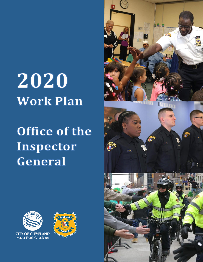# 2020 **Work Plan**

# Office of the Inspector General

POLIC



**CITY OF CLEVELAND** Mayor Frank G. Jackson

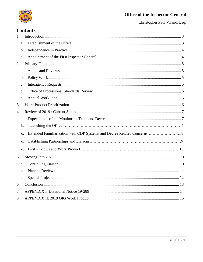

Christopher Paul Viland, Esq.

# **Contents**

| 1. |                |  |
|----|----------------|--|
|    | a.             |  |
|    | b.             |  |
|    | $\mathbf{c}$ . |  |
| 2. |                |  |
|    | a.             |  |
|    | b.             |  |
|    | $\mathbf{c}$ . |  |
|    | d.             |  |
|    | e.             |  |
| 3. |                |  |
| 4. |                |  |
|    | a.             |  |
|    | b.             |  |
|    | c.             |  |
|    | d.             |  |
|    | e.             |  |
| 5. |                |  |
|    | a.             |  |
|    | b.             |  |
|    | c.             |  |
| 6. |                |  |
| 7. |                |  |
| 8. |                |  |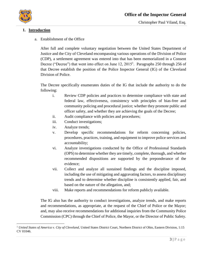

 $\overline{a}$ 

#### <span id="page-2-1"></span><span id="page-2-0"></span>**1. Introduction**

a. Establishment of the Office

After full and complete voluntary negotiation between the United States Department of Justice and the City of Cleveland encompassing various operations of the Division of Police (CDP), a settlement agreement was entered into that has been memorialized in a Consent Decree ("Decree") that went into effect on June  $12$ ,  $2015<sup>1</sup>$ . Paragraphs 250 through 256 of that Decree establish the position of the Police Inspector General (IG) of the Cleveland Division of Police.

The Decree specifically enumerates duties of the IG that include the authority to do the following:

- i. Review CDP policies and practices to determine compliance with state and federal law, effectiveness, consistency with principles of bias-free and community policing and procedural justice; whether they promote public and officer safety, and whether they are achieving the goals of the Decree;
- ii. Audit compliance with policies and procedures;
- iii. Conduct investigations;
- iv. Analyze trends;
- v. Develop specific recommendations for reform concerning policies, procedures, practices, training, and equipment to improve police services and accountability;
- vi. Analyze investigations conducted by the Office of Professional Standards (OPS) to determine whether they are timely, complete, thorough, and whether recommended dispositions are supported by the preponderance of the evidence;
- vii. Collect and analyze all sustained findings and the discipline imposed, including the use of mitigating and aggravating factors, to assess disciplinary trends and to determine whether discipline is consistently applied, fair, and based on the nature of the allegation, and;
- viii. Make reports and recommendations for reform publicly available.

The IG also has the authority to conduct investigations, analyze trends, and make reports and recommendations, as appropriate, at the request of the Chief of Police or the Mayor; and, may also receive recommendations for additional inquiries from the Community Police Commission (CPC) through the Chief of Police, the Mayor, or the Director of Public Safety.

<sup>1</sup> *United States of America v. City of Cleveland*, United States District Court, Northern District of Ohio, Eastern Division, 1:15 CV 01046.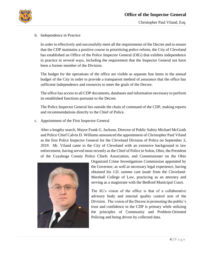

<span id="page-3-0"></span>b. Independence in Practice

In order to effectively and successfully meet all the requirements of the Decree and to ensure that the CDP maintains a positive course in prioritizing police reform, the City of Cleveland has established an Office of the Police Inspector General (OIG) that exhibits independence in practice in several ways, including the requirement that the Inspector General not have been a former member of the Division.

The budget for the operations of the office are visible as separate line items in the annual budget of the City in order to provide a transparent method of assurance that the office has sufficient independence and resources to meet the goals of the Decree.

The office has access to all CDP documents, databases and information necessary to perform its established functions pursuant to the Decree.

The Police Inspector General lies outside the chain of command of the CDP, making reports and recommendations directly to the Chief of Police.

<span id="page-3-1"></span>c. Appointment of the First Inspector General

After a lengthy search, Mayor Frank G. Jackson, Director of Public Safety Michael McGrath and Police Chief Calvin D. Williams announced the appointment of Christopher Paul Viland as the first Police Inspector General for the Cleveland Division of Police on September 3, 2019. Mr. Viland came to the City of Cleveland with an extensive background in law enforcement, having served most recently as the Chief of Police in Solon, Ohio, the President of the Cuyahoga County Police Chiefs Association, and Commissioner on the Ohio



Organized Crime Investigations Commission appointed by the Governor; as well as necessary legal experience, having obtained his J.D. *summa cum laude* from the Cleveland-Marshall College of Law, practicing as an attorney and serving as a magistrate with the Bedford Municipal Court.

The IG's vision of the office is that of a collaborative advisory body and internal quality control arm of the Division. The vision of the Decree in promoting the public's trust and confidence in the CDP is primary while utilizing the principles of Community and Problem-Oriented Policing and being driven by collected data.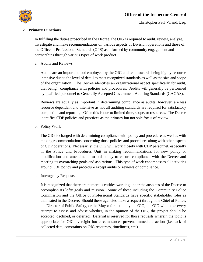

#### <span id="page-4-0"></span>**2. Primary Functions**

In fulfilling the duties proscribed in the Decree, the OIG is required to audit, review, analyze, investigate and make recommendations on various aspects of Division operations and those of the Office of Professional Standards (OPS) as informed by community engagement and partnerships through various types of work product.

<span id="page-4-1"></span>a. Audits and Reviews

Audits are an important tool employed by the OIG and tend towards being highly resource intensive due to the level of detail to meet recognized standards as well as the size and scope of the organization. The Decree identifies an organizational aspect specifically for audit, that being: compliance with policies and procedures. Audits will generally be performed by qualified personnel to Generally Accepted Government Auditing Standards (GAGAS).

Reviews are equally as important in determining compliance as audits, however, are less resource dependent and intensive as not all auditing standards are required for satisfactory completion and reporting. Often this is due to limited time, scope, or resources. The Decree identifies CDP policies and practices as the primary but not sole focus of review.

<span id="page-4-2"></span>b. Policy Work

The OIG is charged with determining compliance with policy and procedure as well as with making recommendations concerning those policies and procedures along with other aspects of CDP operations. Necessarily, the OIG will work closely with CDP personnel, especially in the Policy and Procedures Unit in making recommendations for new policy or modification and amendments to old policy to ensure compliance with the Decree and meeting its overarching goals and aspirations. This type of work encompasses all activities around CDP policy and procedure except audits or reviews of compliance.

<span id="page-4-3"></span>c. Interagency Requests

It is recognized that there are numerous entities working under the auspices of the Decree to accomplish its lofty goals and mission. Some of these including the Community Police Commission and the Office of Professional Standards have specific stakeholder roles as delineated in the Decree. Should these agencies make a request through the Chief of Police, the Director of Public Safety, or the Mayor for action by the OIG, the OIG will make every attempt to assess and advise whether, in the opinion of the OIG, the project should be accepted, declined, or deferred. Deferral is reserved for those requests wherein the topic is appropriate for OIG oversight but circumstances prevent immediate action (i.e. lack of collected data, constraints on OIG resources, timeliness, etc.).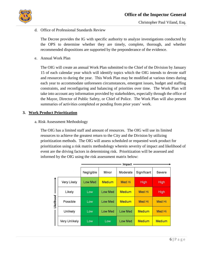<span id="page-5-0"></span>d. Office of Professional Standards Review

The Decree provides the IG with specific authority to analyze investigations conducted by the OPS to determine whether they are timely, complete, thorough, and whether recommended dispositions are supported by the preponderance of the evidence.

<span id="page-5-1"></span>e. Annual Work Plan

The OIG will create an annual Work Plan submitted to the Chief of the Division by January 15 of each calendar year which will identify topics which the OIG intends to devote staff and resources to during the year. This Work Plan may be modified at various times during each year to accommodate unforeseen circumstances, emergent issues, budget and staffing constraints, and reconfiguring and balancing of priorities over time. The Work Plan will take into account any information provided by stakeholders, especially through the office of the Mayor, Director of Public Safety, or Chief of Police. The Work Plan will also present summaries of activities completed or pending from prior years' work.

#### <span id="page-5-2"></span>**3. Work Product Prioritization**

a. Risk Assessment Methodology

The OIG has a limited staff and amount of resources. The OIG will use its limited resources to achieve the greatest return to the City and the Division by utilizing prioritization methods. The OIG will assess scheduled or requested work product for prioritization using a risk matrix methodology wherein severity of impact and likelihood of event are the driving factors in determining risk. Prioritization will be assessed and informed by the OIG using the risk assessment matrix below:

|            |                      | <b>Impact</b>  |                |                |               |               |
|------------|----------------------|----------------|----------------|----------------|---------------|---------------|
|            |                      | Negligible     | Minor          | Moderate       | Significant   | Severe        |
|            | Very Likely          | <b>Low Med</b> | <b>Medium</b>  | <b>Med Hi</b>  | High          | High          |
|            | Likely               | Low            | <b>Low Med</b> | <b>Medium</b>  | Med Hi        | High          |
| Likelihood | Possible             | Low            | <b>Low Med</b> | <b>Medium</b>  | <b>Med Hi</b> | <b>Med Hi</b> |
|            | Unlikely             | Low            | <b>Low Med</b> | <b>Low Med</b> | <b>Medium</b> | <b>Med Hi</b> |
|            | <b>Very Unlikely</b> | Low            | Low            | <b>Low Med</b> | <b>Medium</b> | <b>Medium</b> |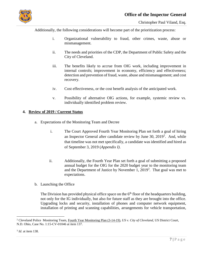

Additionally, the following considerations will become part of the prioritization process:

- i. Organizational vulnerability to fraud, other crimes, waste, abuse or mismanagement.
- ii. The needs and priorities of the CDP, the Department of Public Safety and the City of Cleveland.
- iii. The benefits likely to accrue from OIG work, including improvement in internal controls; improvement in economy, efficiency and effectiveness; detection and prevention of fraud, waste, abuse and mismanagement; and cost recovery.
- iv. Cost effectiveness, or the cost benefit analysis of the anticipated work.
- v. Possibility of alternative OIG actions, for example, systemic review vs. individually identified problem review.

#### <span id="page-6-1"></span><span id="page-6-0"></span>**4. Review of 2019 / Current Status**

- a. Expectations of the Monitoring Team and Decree
	- i. The Court Approved Fourth Year Monitoring Plan set forth a goal of hiring an Inspector General after candidate review by June 30,  $2019^2$ . And, while that timeline was not met specifically, a candidate was identified and hired as of September 3, 2019 (*Appendix I)*.
	- ii. Additionally, the Fourth Year Plan set forth a goal of submitting a proposed annual budget for the OIG for the 2020 budget year to the monitoring team and the Department of Justice by November 1, 2019<sup>3</sup>. That goal was met to expectations.
- b. Launching the Office

The Division has provided physical office space on the  $6<sup>th</sup>$  floor of the headquarters building, not only for the IG individually, but also for future staff as they are brought into the office. Upgrading locks and security, installation of phones and computer network equipment, installation of printing and scanning capabilities, arrangements for vehicle transportation,

 $\overline{a}$ 

<sup>2</sup> Cleveland Police Monitoring Team, Fourth Year Monitoring Plan (3-14-19), *US v. City of Cleveland*, US District Court, N.D. Ohio, Case No. 1:15-CV-01046 at item 137.

<sup>3</sup> *Id*. at item 138.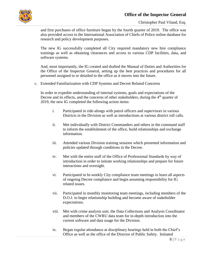

and first purchases of office furniture began by the fourth quarter of 2019. The office was also provided access to the International Association of Chiefs of Police online database for research and policy development purposes.

The new IG successfully completed all City required mandatory new hire compliance trainings as well as obtaining clearances and access to various CDP facilities, data, and software systems.

And, most importantly, the IG created and drafted the Manual of Duties and Authorities for the Office of the Inspector General, setting up the best practices and procedures for all personnel assigned to or detailed to the office as it moves into the future.

c. Extended Familiarization with CDP Systems and Decree Related Concerns

In order to expedite understanding of internal systems, goals and expectations of the Decree and its effects, and the concerns of other stakeholders, during the  $4<sup>th</sup>$  quarter of 2019, the new IG completed the following action items:

- i. Participated in ride-alongs with patrol officers and supervisors in various Districts in the Division as well as introductions at various district roll calls.
- ii. Met individually with District Commanders and others in the command staff to inform the establishment of the office, build relationships and exchange information.
- iii. Attended various Division training sessions which presented information and policies updated through conditions in the Decree.
- iv. Met with the entire staff of the Office of Professional Standards by way of introduction in order to initiate working relationships and prepare for future interactions and oversight.
- vi. Participated in bi-weekly City compliance team meetings to learn all aspects of ongoing Decree compliance and begin assuming responsibility for IG related issues.
- vii. Participated in monthly monitoring team meetings, including members of the D.O.J. to begin relationship building and become aware of stakeholder expectations.
- viii. Met with crime analysis unit, the Data Collections and Analysis Coordinator and members of the CWRU data team for in-depth introduction into the current software and data usage for the Division.
- ix. Began regular attendance at disciplinary hearings held in both the Chief's Office as well as the office of the Director of Public Safety. Initiated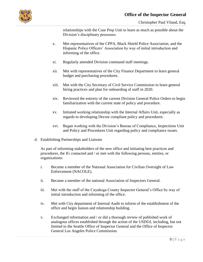

relationships with the Case Prep Unit to learn as much as possible about the Division's disciplinary processes.

- x. Met representatives of the CPPA, Black Shield Police Association, and the Hispanic Police Officers' Association by way of initial introduction and informing of the office.
- xi. Regularly attended Division command staff meetings.
- xii. Met with representatives of the City Finance Department to learn general budget and purchasing procedures.
- xiii. Met with the City Secretary of Civil Service Commission to learn general hiring practices and plan for onboarding of staff in 2020.
- xiv. Reviewed the entirety of the current Division General Police Orders to begin familiarization with the current state of policy and procedure.
- xv. Initiated working relationship with the Internal Affairs Unit, especially as regards to developing Decree compliant policy and procedures.
- xvi. Began working with the Division's Bureau of Compliance, Inspections Unit and Policy and Procedures Unit regarding policy and compliance issues.
- d. Establishing Partnerships and Liaisons

As part of informing stakeholders of the new office and initiating best practices and procedures, the IG contacted and / or met with the following persons, entities, or organizations:

- i. Became a member of the National Association for Civilian Oversight of Law Enforcement (NACOLE).
- ii. Became a member of the national Association of Inspectors General.
- iii. Met with the staff of the Cuyahoga County Inspector General's Office by way of initial introduction and informing of the office.
- iv. Met with City department of Internal Audit to inform of the establishment of the office and begin liaison and relationship building.
- v. Exchanged information and / or did a thorough review of published work of analogous offices established through the action of the USDOJ, including, but not limited to the Seattle Office of Inspector General and the Office of Inspector General Los Angeles Police Commission.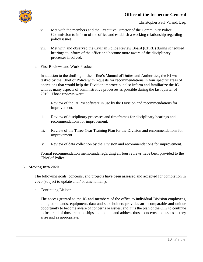

- vi. Met with the members and the Executive Director of the Community Police Commission to inform of the office and establish a working relationship regarding policy issues.
- vii. Met with and observed the Civilian Police Review Board (CPRB) during scheduled hearings to inform of the office and become more aware of the disciplinary processes involved.
- e. First Reviews and Work Product

In addition to the drafting of the office's Manual of Duties and Authorities, the IG was tasked by the Chief of Police with requests for recommendations in four specific areas of operations that would help the Division improve but also inform and familiarize the IG with as many aspects of administrative processes as possible during the last quarter of 2019. Those reviews were:

- i. Review of the IA Pro software in use by the Division and recommendations for improvement.
- ii. Review of disciplinary processes and timeframes for disciplinary hearings and recommendations for improvement.
- iii. Review of the Three Year Training Plan for the Division and recommendations for improvement.
- iv. Review of data collection by the Division and recommendations for improvement.

Formal recommendation memoranda regarding all four reviews have been provided to the Chief of Police.

#### <span id="page-9-0"></span>**5. Moving Into 2020**

The following goals, concerns, and projects have been assessed and accepted for completion in 2020 (subject to update and / or amendment).

<span id="page-9-1"></span>a. Continuing Liaison

The access granted to the IG and members of the office to individual Division employees, units, commands, equipment, data and stakeholders provides an incomparable and unique opportunity to become aware of concerns or issues; and, it is the plan of the OIG to continue to foster all of those relationships and to note and address those concerns and issues as they arise and as appropriate.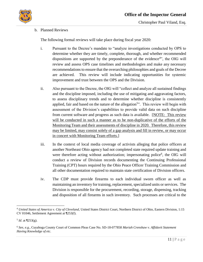

<span id="page-10-0"></span>b. Planned Reviews

The following formal reviews will take place during fiscal year 2020:

- i. Pursuant to the Decree's mandate to "analyze investigations conducted by OPS to determine whether they are timely, complete, thorough, and whether recommended dispositions are supported by the preponderance of the evidence<sup>4</sup>", the OIG will review and assess OPS case timelines and methodologies and make any necessary recommendations to ensure that the overarching philosophies and goals of the Decree are achieved. This review will include indicating opportunities for systemic improvement and trust between the OPS and the Division.
- ii. Also pursuant to the Decree, the OIG will "collect and analyze all sustained findings and the discipline imposed, including the use of mitigating and aggravating factors, to assess disciplinary trends and to determine whether discipline is consistently applied, fair and based on the nature of the allegation<sup>5</sup>". This review will begin with assessment of the Division's capabilities to provide valid data on such discipline from current software and progress as such data is available. [NOTE: This review will be conducted in such a manner as to be non-duplicative of the efforts of the Monitoring Team and their assessments of discipline in 2020. Therefore, this review may be limited, may consist solely of a gap analysis and fill in review, or may occur in concert with Monitoring Team efforts.]
- iii. In the context of local media coverage of activists alleging that police officers at another Northeast Ohio agency had not completed state required update training and were therefore acting without authorization; impersonating police<sup>6</sup>, the OIG will conduct a review of Division records documenting the Continuing Professional Training (CPT) hours required by the Ohio Peace Officer Training Commission and all other documentation required to maintain state certification of Division officers.
- iv. The CDP must provide firearms to each individual sworn officer as well as maintaining an inventory for training, replacement, specialized units or services. The Division is responsible for the procurement, recording, storage, dispensing, tracking and disposition of all firearms in such inventory. Such processes are critical to the

 $\overline{a}$ 

<sup>4</sup> *United States of America v. City of Cleveland*, United States District Court, Northern District of Ohio, Eastern Division, 1:15 CV 01046, Settlement Agreement at ¶253(f).

 $<sup>5</sup>$  *Id.* at [253(g).</sup>

<sup>6</sup> *See*, *e.g.*, Cuyahoga County Court of Common Pleas Case No. SD-18-077858 *Mariah Crenshaw v. Affidavit Statement Having Knowledge of etc.*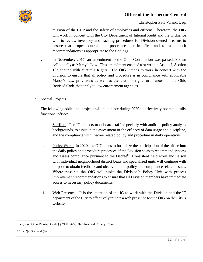



mission of the CDP and the safety of employees and citizens. Therefore, the OIG will work in concert with the City Department of Internal Audit and the Ordnance Unit to review inventory and tracking procedures for Division owned firearms to ensure that proper controls and procedures are in effect and to make such recommendations as appropriate to the findings.

- v. In November, 2017, an amendment to the Ohio Constitution was passed, known colloquially as Marsy's Law. This amendment enacted a re-written Article I, Section 10a dealing with Victim's Rights. The OIG intends to work in concert with the Division to ensure that all policy and procedure is in compliance with applicable Marsy's Law provisions as well as the victim's rights ordinances<sup>7</sup> in the Ohio Revised Code that apply to law enforcement agencies.
- <span id="page-11-0"></span>c. Special Projects

The following additional projects will take place during 2020 to effectively operate a fully functional office:

- i. Staffing: The IG expects to onboard staff, especially with audit or policy analysis backgrounds, to assist in the assessment of the efficacy of data usage and discipline, and the compliance with Decree related policy and procedure in daily operations.
- ii. Policy Work: In 2020, the OIG plans to formalize the participation of the office into the daily policy and procedure processes of the Division so as to recommend, review and assess compliance pursuant to the Decree<sup>8</sup>. Consistent field work and liaison with individual neighborhood district beats and specialized units will continue with purpose to obtain feedback and observation of policy and compliance related issues. Where possible the OIG will assist the Division's Policy Unit with process improvement recommendations to ensure that all Division members have immediate access to necessary policy documents.
- iii. Web Presence: It is the intention of the IG to work with the Division and the IT department of the City to effectively initiate a web presence for the OIG on the City's website.

 $\overline{a}$ <sup>7</sup> *See*, *e.g.*, Ohio Revised Code §§2930.04-5; Ohio Revised Code §109.42.

<sup>8</sup> *Id*. at ¶253(a) and (b).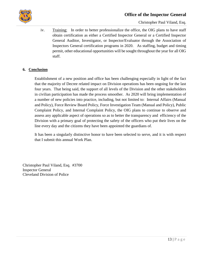

Christopher Paul Viland, Esq.

iv. Training: In order to better professionalize the office, the OIG plans to have staff obtain certification as either a Certified Inspector General or a Certified Inspector General Auditor, Investigator, or Inspector/Evaluator through the Association of Inspectors General certification programs in 2020. As staffing, budget and timing permit, other educational opportunities will be sought throughout the year for all OIG staff.

#### <span id="page-12-0"></span>**6. Conclusion**

Establishment of a new position and office has been challenging especially in light of the fact that the majority of Decree related impact on Division operations has been ongoing for the last four years. That being said, the support of all levels of the Division and the other stakeholders in civilian participation has made the process smoother. As 2020 will bring implementation of a number of new policies into practice, including, but not limited to: Internal Affairs (Manual and Policy), Force Review Board Policy, Force Investigation Team (Manual and Policy), Public Complaint Policy, and Internal Complaint Policy, the OIG plans to continue to observe and assess any applicable aspect of operations so as to better the transparency and efficiency of the Division with a primary goal of protecting the safety of the officers who put their lives on the line every day and the citizens they have been appointed the guardians of.

It has been a singularly distinctive honor to have been selected to serve, and it is with respect that I submit this annual Work Plan.

Christopher Paul Viland, Esq. #3700 Inspector General Cleveland Division of Police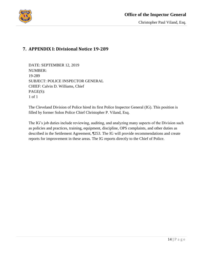

#### <span id="page-13-0"></span>**7. APPENDIX I: Divisional Notice 19-289**

DATE: SEPTEMBER 12, 2019 NUMBER: 19-289 SUBJECT: POLICE INSPECTOR GENERAL CHIEF: Calvin D. Williams, Chief PAGE(S): 1 of 1

The Cleveland Division of Police hired its first Police Inspector General (IG). This position is filled by former Solon Police Chief Christopher P. Viland, Esq.

The IG's job duties include reviewing, auditing, and analyzing many aspects of the Division such as policies and practices, training, equipment, discipline, OPS complaints, and other duties as described in the Settlement Agreement, ¶253. The IG will provide recommendations and create reports for improvement in these areas. The IG reports directly to the Chief of Police.